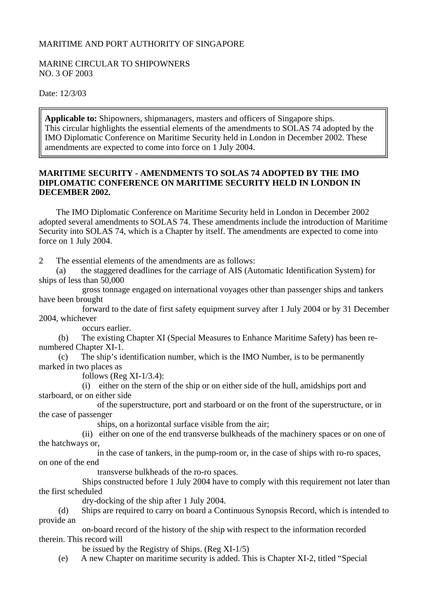## MARITIME AND PORT AUTHORITY OF SINGAPORE

## MARINE CIRCULAR TO SHIPOWNERS NO. 3 OF 2003

Date: 12/3/03

**Applicable to:** Shipowners, shipmanagers, masters and officers of Singapore ships. This circular highlights the essential elements of the amendments to SOLAS 74 adopted by the IMO Diplomatic Conference on Maritime Security held in London in December 2002. These amendments are expected to come into force on 1 July 2004.

## **MARITIME SECURITY - AMENDMENTS TO SOLAS 74 ADOPTED BY THE IMO DIPLOMATIC CONFERENCE ON MARITIME SECURITY HELD IN LONDON IN DECEMBER 2002.**

 The IMO Diplomatic Conference on Maritime Security held in London in December 2002 adopted several amendments to SOLAS 74. These amendments include the introduction of Maritime Security into SOLAS 74, which is a Chapter by itself. The amendments are expected to come into force on 1 July 2004.

2 The essential elements of the amendments are as follows:

 (a) the staggered deadlines for the carriage of AIS (Automatic Identification System) for ships of less than 50,000

 gross tonnage engaged on international voyages other than passenger ships and tankers have been brought

 forward to the date of first safety equipment survey after 1 July 2004 or by 31 December 2004, whichever

occurs earlier.

 (b) The existing Chapter XI (Special Measures to Enhance Maritime Safety) has been renumbered Chapter XI-1.

 (c) The ship's identification number, which is the IMO Number, is to be permanently marked in two places as

follows (Reg  $XI-1/3.4$ ):

 (i) either on the stern of the ship or on either side of the hull, amidships port and starboard, or on either side

 of the superstructure, port and starboard or on the front of the superstructure, or in the case of passenger

ships, on a horizontal surface visible from the air;

 (ii) either on one of the end transverse bulkheads of the machinery spaces or on one of the hatchways or,

 in the case of tankers, in the pump-room or, in the case of ships with ro-ro spaces, on one of the end

transverse bulkheads of the ro-ro spaces.

 Ships constructed before 1 July 2004 have to comply with this requirement not later than the first scheduled

dry-docking of the ship after 1 July 2004.

 (d) Ships are required to carry on board a Continuous Synopsis Record, which is intended to provide an

 on-board record of the history of the ship with respect to the information recorded therein. This record will

be issued by the Registry of Ships. (Reg XI-1/5)

(e) A new Chapter on maritime security is added. This is Chapter XI-2, titled "Special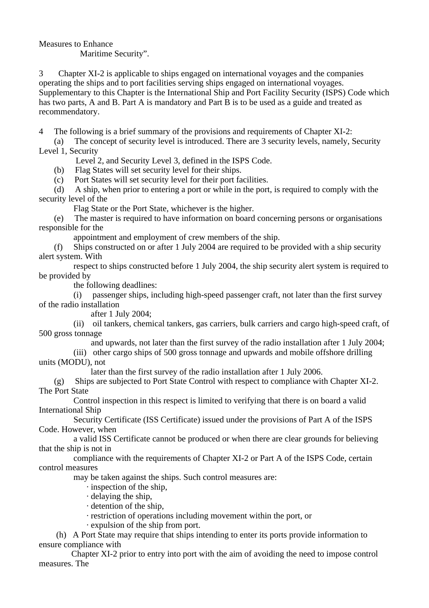Measures to Enhance Maritime Security".

3 Chapter XI-2 is applicable to ships engaged on international voyages and the companies operating the ships and to port facilities serving ships engaged on international voyages. Supplementary to this Chapter is the International Ship and Port Facility Security (ISPS) Code which has two parts, A and B. Part A is mandatory and Part B is to be used as a guide and treated as recommendatory.

4 The following is a brief summary of the provisions and requirements of Chapter XI-2:

 (a) The concept of security level is introduced. There are 3 security levels, namely, Security Level 1, Security

Level 2, and Security Level 3, defined in the ISPS Code.

(b) Flag States will set security level for their ships.

(c) Port States will set security level for their port facilities.

 (d) A ship, when prior to entering a port or while in the port, is required to comply with the security level of the

Flag State or the Port State, whichever is the higher.

 (e) The master is required to have information on board concerning persons or organisations responsible for the

appointment and employment of crew members of the ship.

 (f) Ships constructed on or after 1 July 2004 are required to be provided with a ship security alert system. With

 respect to ships constructed before 1 July 2004, the ship security alert system is required to be provided by

the following deadlines:

 (i) passenger ships, including high-speed passenger craft, not later than the first survey of the radio installation

after 1 July 2004;

 (ii) oil tankers, chemical tankers, gas carriers, bulk carriers and cargo high-speed craft, of 500 gross tonnage

and upwards, not later than the first survey of the radio installation after 1 July 2004;

 (iii) other cargo ships of 500 gross tonnage and upwards and mobile offshore drilling units (MODU), not

later than the first survey of the radio installation after 1 July 2006.

 (g) Ships are subjected to Port State Control with respect to compliance with Chapter XI-2. The Port State

 Control inspection in this respect is limited to verifying that there is on board a valid International Ship

 Security Certificate (ISS Certificate) issued under the provisions of Part A of the ISPS Code. However, when

 a valid ISS Certificate cannot be produced or when there are clear grounds for believing that the ship is not in

 compliance with the requirements of Chapter XI-2 or Part A of the ISPS Code, certain control measures

may be taken against the ships. Such control measures are:

· inspection of the ship,

· delaying the ship,

· detention of the ship,

· restriction of operations including movement within the port, or

· expulsion of the ship from port.

 (h) A Port State may require that ships intending to enter its ports provide information to ensure compliance with

 Chapter XI-2 prior to entry into port with the aim of avoiding the need to impose control measures. The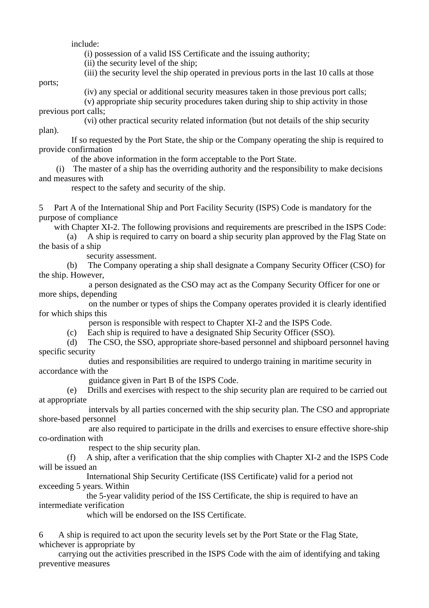include:

(i) possession of a valid ISS Certificate and the issuing authority;

(ii) the security level of the ship;

(iii) the security level the ship operated in previous ports in the last 10 calls at those

ports;

plan).

(iv) any special or additional security measures taken in those previous port calls;

 (v) appropriate ship security procedures taken during ship to ship activity in those previous port calls;

(vi) other practical security related information (but not details of the ship security

 If so requested by the Port State, the ship or the Company operating the ship is required to provide confirmation

of the above information in the form acceptable to the Port State.

 (i) The master of a ship has the overriding authority and the responsibility to make decisions and measures with

respect to the safety and security of the ship.

5 Part A of the International Ship and Port Facility Security (ISPS) Code is mandatory for the purpose of compliance

with Chapter XI-2. The following provisions and requirements are prescribed in the ISPS Code:

 (a) A ship is required to carry on board a ship security plan approved by the Flag State on the basis of a ship

security assessment.

 (b) The Company operating a ship shall designate a Company Security Officer (CSO) for the ship. However,

 a person designated as the CSO may act as the Company Security Officer for one or more ships, depending

 on the number or types of ships the Company operates provided it is clearly identified for which ships this

person is responsible with respect to Chapter XI-2 and the ISPS Code.

(c) Each ship is required to have a designated Ship Security Officer (SSO).

 (d) The CSO, the SSO, appropriate shore-based personnel and shipboard personnel having specific security

 duties and responsibilities are required to undergo training in maritime security in accordance with the

guidance given in Part B of the ISPS Code.

 (e) Drills and exercises with respect to the ship security plan are required to be carried out at appropriate

 intervals by all parties concerned with the ship security plan. The CSO and appropriate shore-based personnel

 are also required to participate in the drills and exercises to ensure effective shore-ship co-ordination with

respect to the ship security plan.

 (f) A ship, after a verification that the ship complies with Chapter XI-2 and the ISPS Code will be issued an

 International Ship Security Certificate (ISS Certificate) valid for a period not exceeding 5 years. Within

 the 5-year validity period of the ISS Certificate, the ship is required to have an intermediate verification

which will be endorsed on the ISS Certificate.

6 A ship is required to act upon the security levels set by the Port State or the Flag State, whichever is appropriate by

 carrying out the activities prescribed in the ISPS Code with the aim of identifying and taking preventive measures